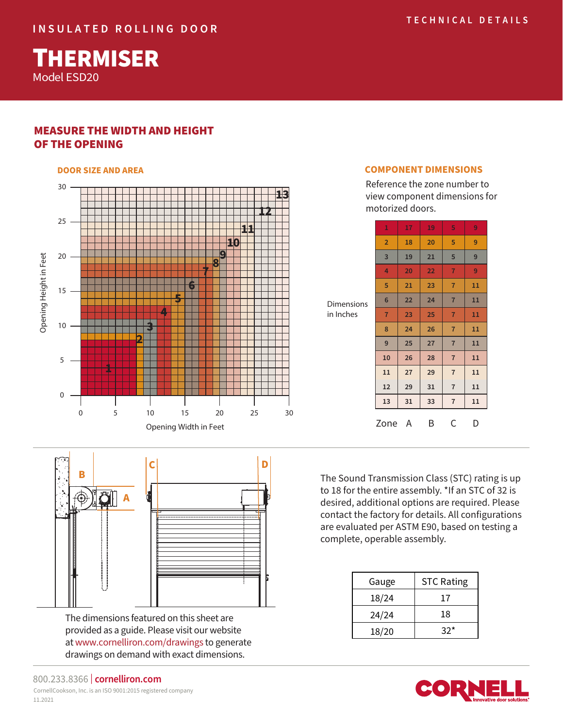Model ESD20 **THERMISER** 

## MEASURE THE WIDTH AND HEIGHT OF THE OPENING



#### **DOOR SIZE AND AREA COMPONENT DIMENSIONS**

Reference the zone number to view component dimensions for motorized doors.

|            | 1               | 17 | 19 | 5              | 9  |
|------------|-----------------|----|----|----------------|----|
|            | $\overline{2}$  | 18 | 20 | 5              | 9  |
|            | 3               | 19 | 21 | 5              | 9  |
|            | 4               | 20 | 22 | $\overline{7}$ | 9  |
|            | 5               | 21 | 23 | $\overline{7}$ | 11 |
| Dimensions | $6\phantom{1}6$ | 22 | 24 | $\overline{7}$ | 11 |
| in Inches  | $\overline{7}$  | 23 | 25 | $\overline{7}$ | 11 |
|            | 8               | 24 | 26 | $\overline{7}$ | 11 |
|            | 9               | 25 | 27 | $\overline{7}$ | 11 |
|            | 10              | 26 | 28 | $\overline{7}$ | 11 |
|            | 11              | 27 | 29 | $\overline{7}$ | 11 |
|            | 12              | 29 | 31 | 7              | 11 |
|            | 13              | 31 | 33 | $\overline{7}$ | 11 |
|            | Zone            | A  | Β  | С              | D  |
|            |                 |    |    |                |    |

The Sound Transmission Class (STC) rating is up to 18 for the entire assembly. \*If an STC of 32 is desired, additional options are required. Please contact the factory for details. All configurations are evaluated per ASTM E90, based on testing a complete, operable assembly.

| Gauge | <b>STC Rating</b> |  |  |
|-------|-------------------|--|--|
| 18/24 | 17                |  |  |
| 24/24 | 18                |  |  |
| 18/20 | $32*$             |  |  |





The dimensions featured on this sheet are provided as a guide. Please visit our website at www.cornelliron.com/drawings to generate drawings on demand with exact dimensions.